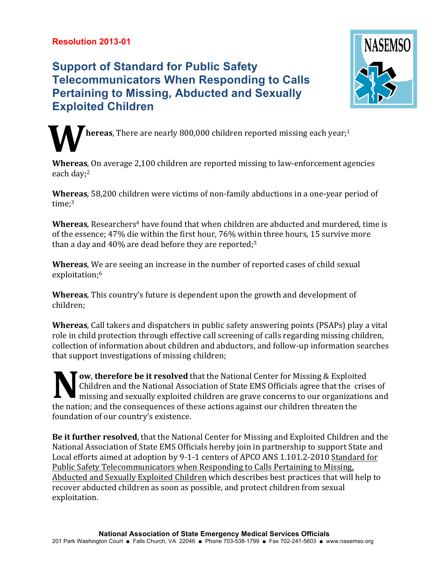## **Resolution 2013-01**

## **Support of Standard for Public Safety Telecommunicators When Responding to Calls Pertaining to Missing, Abducted and Sexually Exploited Children**



**hereas**, There are nearly 800,000 children reported missing each year;<sup>1</sup> **W**

**Whereas**, On average 2,100 children are reported missing to law-enforcement agencies each day;<sup>2</sup>

**Whereas**, 58,200 children were victims of non-family abductions in a one-year period of time:<sup>3</sup>

**Whereas**, Researchers<sup>4</sup> have found that when children are abducted and murdered, time is of the essence;  $47\%$  die within the first hour,  $76\%$  within three hours, 15 survive more than a day and  $40\%$  are dead before they are reported;<sup>5</sup>

**Whereas**, We are seeing an increase in the number of reported cases of child sexual exploitation;<sup>6</sup>

**Whereas**, This country's future is dependent upon the growth and development of children;

**Whereas**, Call takers and dispatchers in public safety answering points (PSAPs) play a vital role in child protection through effective call screening of calls regarding missing children, collection of information about children and abductors, and follow-up information searches that support investigations of missing children;

**Jow, therefore be it resolved** that the National Center for Missing & Exploited Children and the National Association of State EMS Officials agree that the crises of  $\blacksquare$  missing and sexually exploited children are grave concerns to our organizations and the nation; and the consequences of these actions against our children threaten the foundation of our country's existence. **N**

**Be it further resolved**, that the National Center for Missing and Exploited Children and the National Association of State EMS Officials hereby join in partnership to support State and Local efforts aimed at adoption by 9-1-1 centers of APCO ANS 1.101.2-2010 Standard for Public Safety Telecommunicators when Responding to Calls Pertaining to Missing, Abducted and Sexually Exploited Children which describes best practices that will help to recover abducted children as soon as possible, and protect children from sexual exploitation.